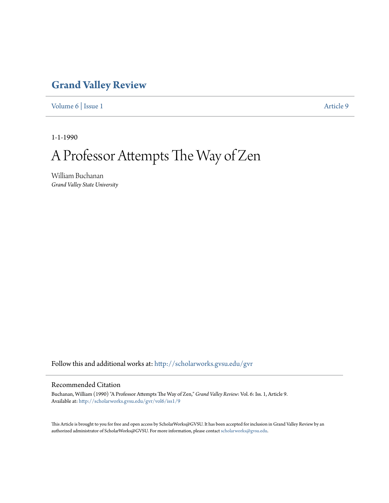### **[Grand Valley Review](http://scholarworks.gvsu.edu/gvr?utm_source=scholarworks.gvsu.edu%2Fgvr%2Fvol6%2Fiss1%2F9&utm_medium=PDF&utm_campaign=PDFCoverPages)**

[Volume 6](http://scholarworks.gvsu.edu/gvr/vol6?utm_source=scholarworks.gvsu.edu%2Fgvr%2Fvol6%2Fiss1%2F9&utm_medium=PDF&utm_campaign=PDFCoverPages) | [Issue 1](http://scholarworks.gvsu.edu/gvr/vol6/iss1?utm_source=scholarworks.gvsu.edu%2Fgvr%2Fvol6%2Fiss1%2F9&utm_medium=PDF&utm_campaign=PDFCoverPages) [Article 9](http://scholarworks.gvsu.edu/gvr/vol6/iss1/9?utm_source=scholarworks.gvsu.edu%2Fgvr%2Fvol6%2Fiss1%2F9&utm_medium=PDF&utm_campaign=PDFCoverPages)

1-1-1990

# A Professor Attempts The Way of Zen

William Buchanan *Grand Valley State University*

Follow this and additional works at: [http://scholarworks.gvsu.edu/gvr](http://scholarworks.gvsu.edu/gvr?utm_source=scholarworks.gvsu.edu%2Fgvr%2Fvol6%2Fiss1%2F9&utm_medium=PDF&utm_campaign=PDFCoverPages)

#### Recommended Citation

Buchanan, William (1990) "A Professor Attempts The Way of Zen," *Grand Valley Review*: Vol. 6: Iss. 1, Article 9. Available at: [http://scholarworks.gvsu.edu/gvr/vol6/iss1/9](http://scholarworks.gvsu.edu/gvr/vol6/iss1/9?utm_source=scholarworks.gvsu.edu%2Fgvr%2Fvol6%2Fiss1%2F9&utm_medium=PDF&utm_campaign=PDFCoverPages)

This Article is brought to you for free and open access by ScholarWorks@GVSU. It has been accepted for inclusion in Grand Valley Review by an authorized administrator of ScholarWorks@GVSU. For more information, please contact [scholarworks@gvsu.edu.](mailto:scholarworks@gvsu.edu)